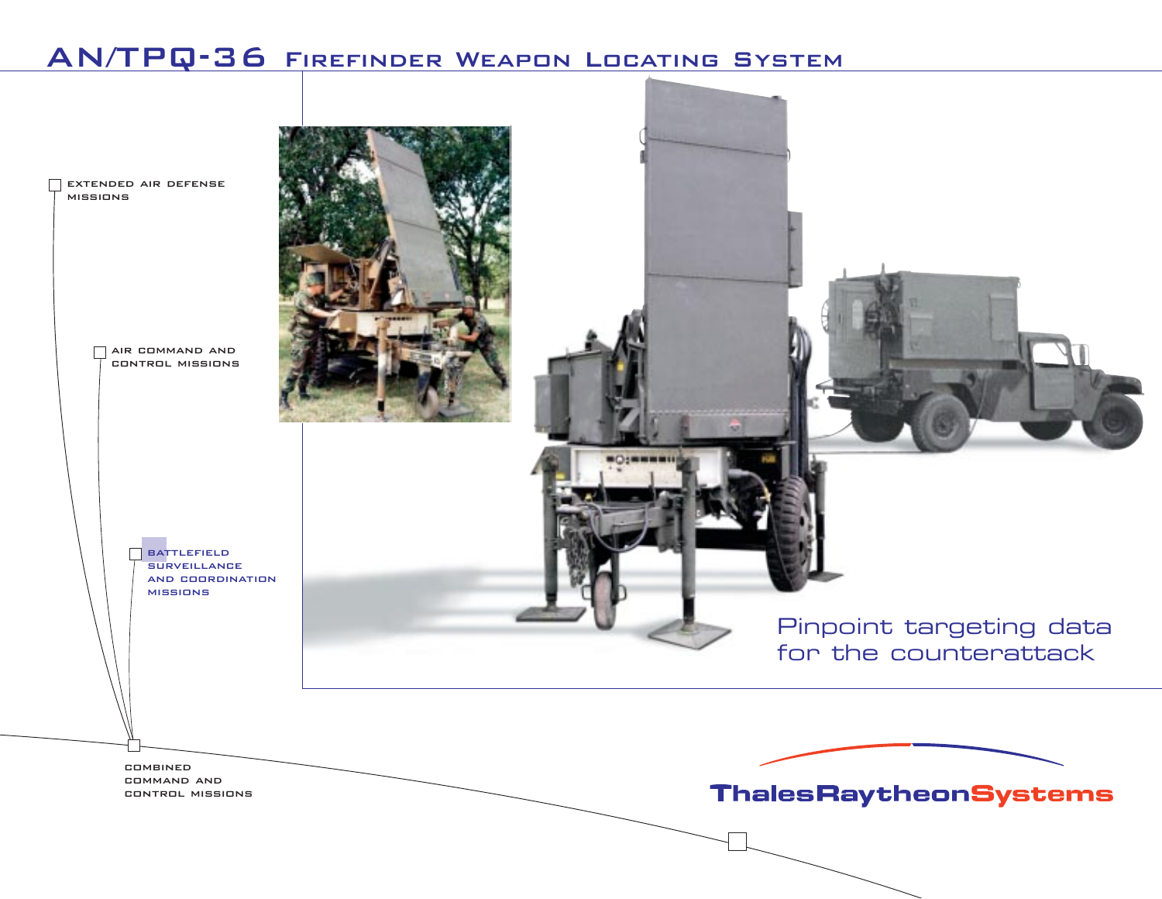# AN/TPQ-36 Firefinder Weapon Locating System